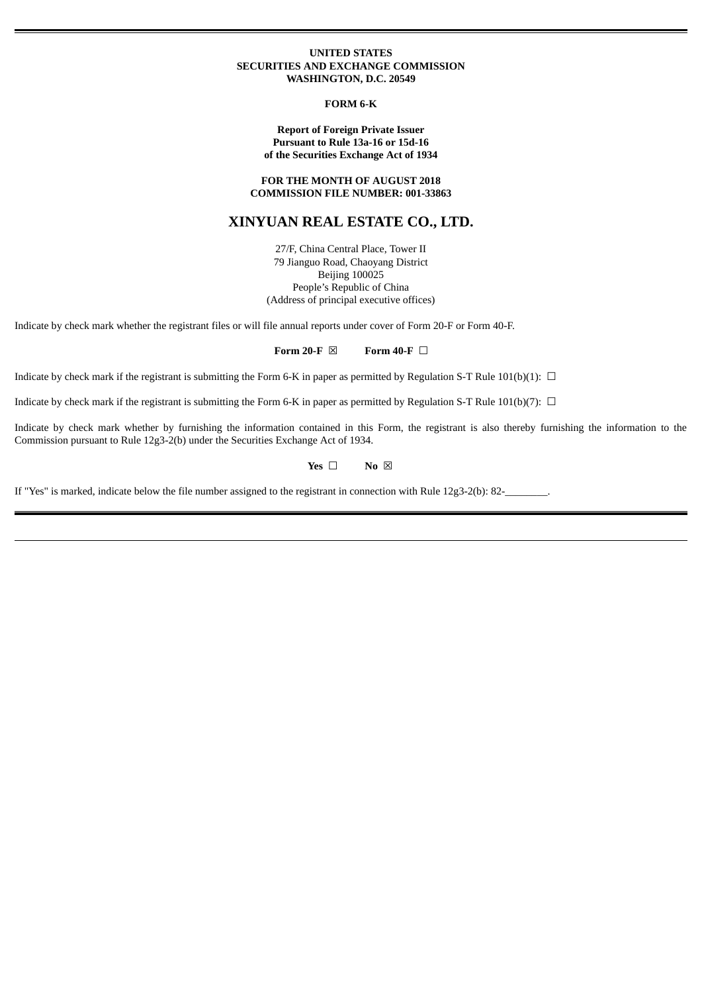#### **UNITED STATES SECURITIES AND EXCHANGE COMMISSION WASHINGTON, D.C. 20549**

#### **FORM 6-K**

**Report of Foreign Private Issuer Pursuant to Rule 13a-16 or 15d-16 of the Securities Exchange Act of 1934**

**FOR THE MONTH OF AUGUST 2018 COMMISSION FILE NUMBER: 001-33863**

# **XINYUAN REAL ESTATE CO., LTD.**

27/F, China Central Place, Tower II 79 Jianguo Road, Chaoyang District Beijing 100025 People's Republic of China (Address of principal executive offices)

Indicate by check mark whether the registrant files or will file annual reports under cover of Form 20-F or Form 40-F.

**Form 20-F** ☒ **Form 40-F** ☐

Indicate by check mark if the registrant is submitting the Form 6-K in paper as permitted by Regulation S-T Rule 101(b)(1):  $\Box$ 

Indicate by check mark if the registrant is submitting the Form 6-K in paper as permitted by Regulation S-T Rule 101(b)(7):  $\Box$ 

Indicate by check mark whether by furnishing the information contained in this Form, the registrant is also thereby furnishing the information to the Commission pursuant to Rule 12g3-2(b) under the Securities Exchange Act of 1934.

#### **Yes** □ **No** ⊠

If "Yes" is marked, indicate below the file number assigned to the registrant in connection with Rule 12g3-2(b): 82-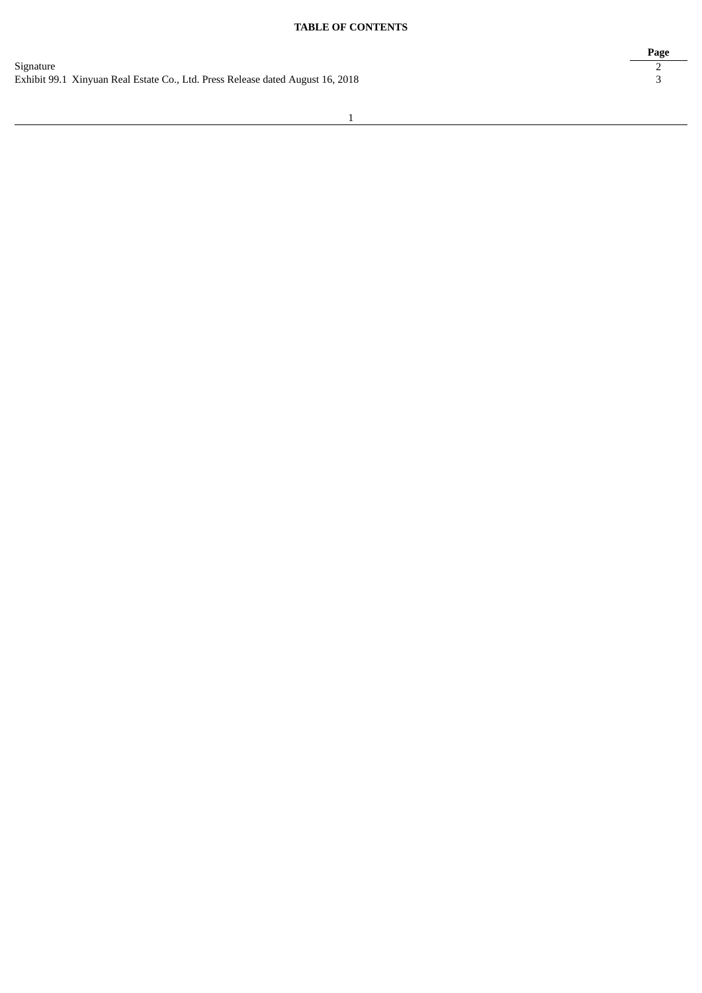# **TABLE OF CONTENTS**

**Page**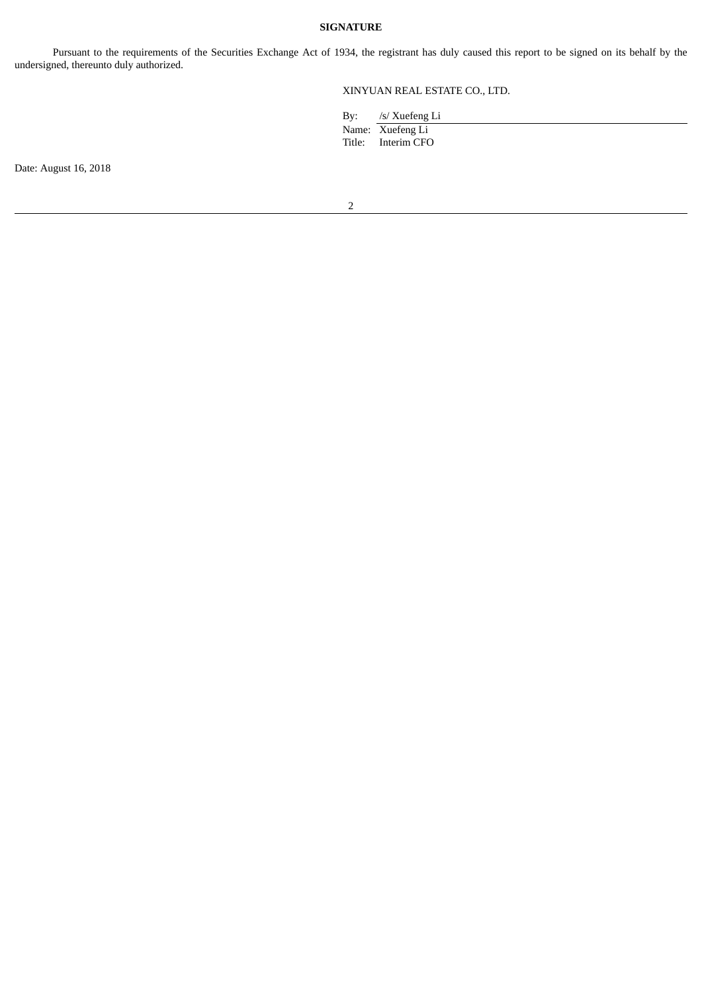### **SIGNATURE**

Pursuant to the requirements of the Securities Exchange Act of 1934, the registrant has duly caused this report to be signed on its behalf by the undersigned, thereunto duly authorized.

# XINYUAN REAL ESTATE CO., LTD.

| By: | /s/ Xuefeng Li |  |
|-----|----------------|--|
|     |                |  |

Name: Xuefeng Li Title: Interim CFO

Date: August 16, 2018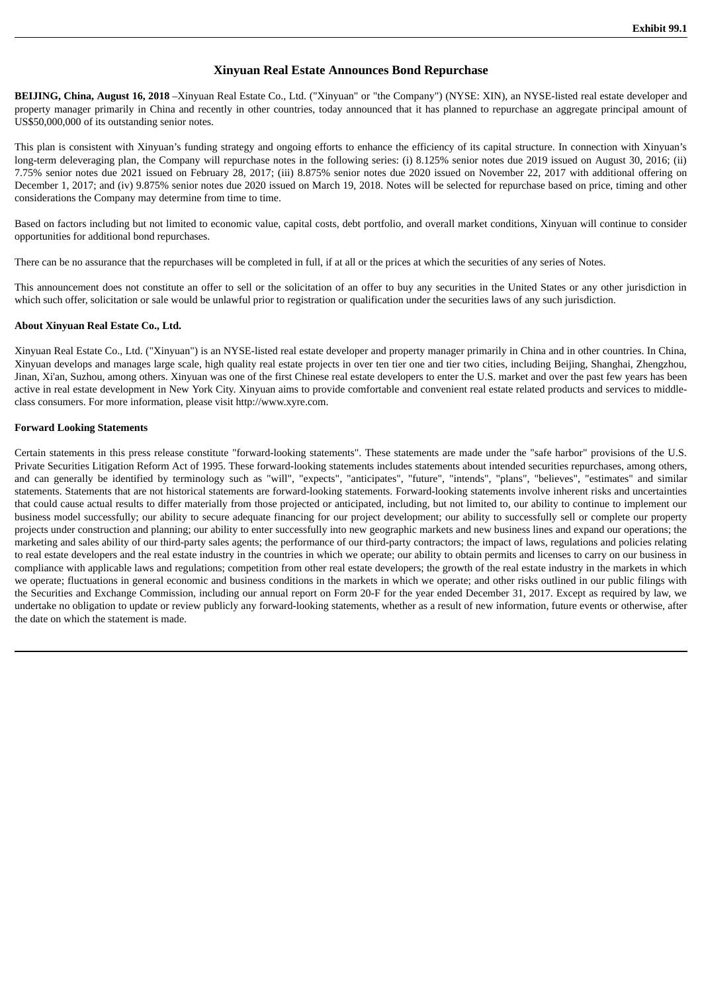## **Xinyuan Real Estate Announces Bond Repurchase**

**BEIJING, China, August 16, 2018** –Xinyuan Real Estate Co., Ltd. ("Xinyuan" or "the Company") (NYSE: XIN), an NYSE-listed real estate developer and property manager primarily in China and recently in other countries, today announced that it has planned to repurchase an aggregate principal amount of US\$50,000,000 of its outstanding senior notes.

This plan is consistent with Xinyuan's funding strategy and ongoing efforts to enhance the efficiency of its capital structure. In connection with Xinyuan's long-term deleveraging plan, the Company will repurchase notes in the following series: (i) 8.125% senior notes due 2019 issued on August 30, 2016; (ii) 7.75% senior notes due 2021 issued on February 28, 2017; (iii) 8.875% senior notes due 2020 issued on November 22, 2017 with additional offering on December 1, 2017; and (iv) 9.875% senior notes due 2020 issued on March 19, 2018. Notes will be selected for repurchase based on price, timing and other considerations the Company may determine from time to time.

Based on factors including but not limited to economic value, capital costs, debt portfolio, and overall market conditions, Xinyuan will continue to consider opportunities for additional bond repurchases.

There can be no assurance that the repurchases will be completed in full, if at all or the prices at which the securities of any series of Notes.

This announcement does not constitute an offer to sell or the solicitation of an offer to buy any securities in the United States or any other jurisdiction in which such offer, solicitation or sale would be unlawful prior to registration or qualification under the securities laws of any such jurisdiction.

#### **About Xinyuan Real Estate Co., Ltd.**

Xinyuan Real Estate Co., Ltd. ("Xinyuan") is an NYSE-listed real estate developer and property manager primarily in China and in other countries. In China, Xinyuan develops and manages large scale, high quality real estate projects in over ten tier one and tier two cities, including Beijing, Shanghai, Zhengzhou, Jinan, Xi'an, Suzhou, among others. Xinyuan was one of the first Chinese real estate developers to enter the U.S. market and over the past few years has been active in real estate development in New York City. Xinyuan aims to provide comfortable and convenient real estate related products and services to middleclass consumers. For more information, please visit http://www.xyre.com.

#### **Forward Looking Statements**

Certain statements in this press release constitute "forward-looking statements". These statements are made under the "safe harbor" provisions of the U.S. Private Securities Litigation Reform Act of 1995. These forward-looking statements includes statements about intended securities repurchases, among others, and can generally be identified by terminology such as "will", "expects", "anticipates", "future", "intends", "plans", "believes", "estimates" and similar statements. Statements that are not historical statements are forward-looking statements. Forward-looking statements involve inherent risks and uncertainties that could cause actual results to differ materially from those projected or anticipated, including, but not limited to, our ability to continue to implement our business model successfully; our ability to secure adequate financing for our project development; our ability to successfully sell or complete our property projects under construction and planning; our ability to enter successfully into new geographic markets and new business lines and expand our operations; the marketing and sales ability of our third-party sales agents; the performance of our third-party contractors; the impact of laws, regulations and policies relating to real estate developers and the real estate industry in the countries in which we operate; our ability to obtain permits and licenses to carry on our business in compliance with applicable laws and regulations; competition from other real estate developers; the growth of the real estate industry in the markets in which we operate; fluctuations in general economic and business conditions in the markets in which we operate; and other risks outlined in our public filings with the Securities and Exchange Commission, including our annual report on Form 20-F for the year ended December 31, 2017. Except as required by law, we undertake no obligation to update or review publicly any forward-looking statements, whether as a result of new information, future events or otherwise, after the date on which the statement is made.